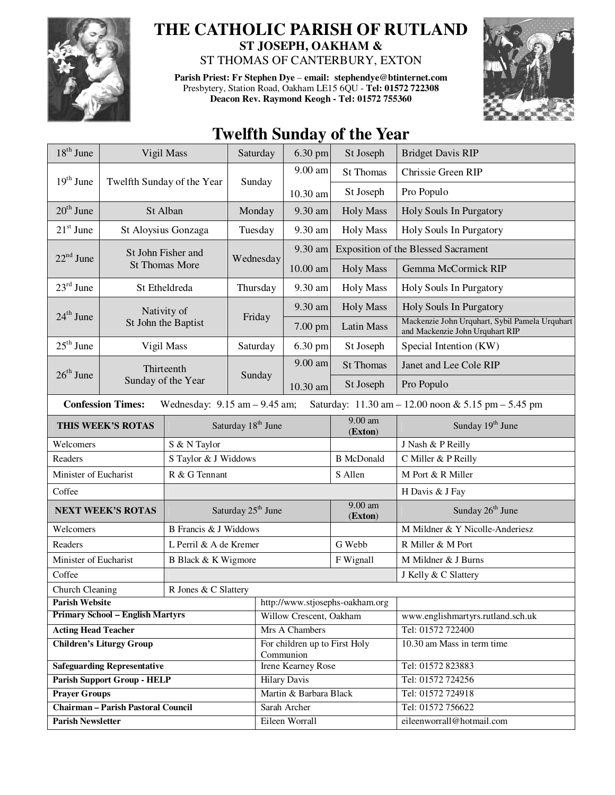

## **THE CATHOLIC PARISH OF RUTLAND ST JOSEPH, OAKHAM &**

ST THOMAS OF CANTERBURY, EXTON

**Parish Priest: Fr Stephen Dye** – **email: stephendye@btinternet.com** Presbytery, Station Road, Oakham LE15 6QU - **Tel: 01572 722308 Deacon Rev. Raymond Keogh - Tel: 01572 755360** 



## **Twelfth Sunday of the Year**

| $18th$ June                                                                                                          |                                    | Vigil Mass                     | Saturday                       | $6.30$ pm                                  | St Joseph            | <b>Bridget Davis RIP</b>                                                          |  |
|----------------------------------------------------------------------------------------------------------------------|------------------------------------|--------------------------------|--------------------------------|--------------------------------------------|----------------------|-----------------------------------------------------------------------------------|--|
|                                                                                                                      | Twelfth Sunday of the Year         |                                |                                | 9.00 am                                    | <b>St Thomas</b>     | Chrissie Green RIP                                                                |  |
| $19th$ June                                                                                                          |                                    |                                | Sunday                         | 10.30 am                                   | St Joseph            | Pro Populo                                                                        |  |
| $20th$ June                                                                                                          | St Alban                           |                                | Monday                         | 9.30 am                                    | <b>Holy Mass</b>     | Holy Souls In Purgatory                                                           |  |
| $21st$ June                                                                                                          | St Aloysius Gonzaga                |                                | Tuesday                        | 9.30 am                                    | <b>Holy Mass</b>     | Holy Souls In Purgatory                                                           |  |
|                                                                                                                      | St John Fisher and                 |                                |                                | 9.30 am                                    |                      | <b>Exposition of the Blessed Sacrament</b>                                        |  |
| $22nd$ June                                                                                                          |                                    | <b>St Thomas More</b>          | Wednesday                      | 10.00 am                                   | <b>Holy Mass</b>     | Gemma McCormick RIP                                                               |  |
| $23^{\text{rd}}$ June                                                                                                | St Etheldreda                      |                                | Thursday                       | 9.30 am                                    | <b>Holy Mass</b>     | Holy Souls In Purgatory                                                           |  |
|                                                                                                                      | Nativity of<br>St John the Baptist |                                | Friday                         | 9.30 am                                    | <b>Holy Mass</b>     | <b>Holy Souls In Purgatory</b>                                                    |  |
| $24^{\text{th}}$ June                                                                                                |                                    |                                |                                | $7.00$ pm                                  | <b>Latin Mass</b>    | Mackenzie John Urquhart, Sybil Pamela Urquhart<br>and Mackenzie John Urquhart RIP |  |
| $25th$ June                                                                                                          |                                    | Vigil Mass                     | Saturday                       | 6.30 pm                                    | St Joseph            | Special Intention (KW)                                                            |  |
|                                                                                                                      |                                    | Thirteenth                     |                                | 9.00 am                                    | <b>St Thomas</b>     | Janet and Lee Cole RIP                                                            |  |
| $26th$ June                                                                                                          | Sunday of the Year                 |                                | Sunday                         | 10.30 am                                   | St Joseph            | Pro Populo                                                                        |  |
| <b>Confession Times:</b><br>Wednesday: $9.15$ am $- 9.45$ am;<br>Saturday: 11.30 am - 12.00 noon & 5.15 pm - 5.45 pm |                                    |                                |                                |                                            |                      |                                                                                   |  |
| THIS WEEK'S ROTAS                                                                                                    |                                    |                                | Saturday 18 <sup>th</sup> June |                                            | $9.00$ am<br>(Exton) | Sunday 19 <sup>th</sup> June                                                      |  |
| Welcomers                                                                                                            |                                    | S & N Taylor                   |                                |                                            |                      | J Nash & P Reilly                                                                 |  |
| Readers                                                                                                              |                                    | S Taylor & J Widdows           |                                |                                            | <b>B</b> McDonald    | C Miller & P Reilly                                                               |  |
| Minister of Eucharist                                                                                                |                                    | R & G Tennant                  |                                |                                            | S Allen              | M Port & R Miller                                                                 |  |
| Coffee                                                                                                               |                                    |                                |                                |                                            |                      | H Davis & J Fay                                                                   |  |
| <b>NEXT WEEK'S ROTAS</b>                                                                                             |                                    | Saturday 25 <sup>th</sup> June |                                |                                            | $9.00$ am<br>(Exton) | Sunday 26 <sup>th</sup> June                                                      |  |
| Welcomers                                                                                                            |                                    | B Francis & J Widdows          |                                |                                            |                      | M Mildner & Y Nicolle-Anderiesz                                                   |  |
| Readers                                                                                                              |                                    | L Perril & A de Kremer         |                                |                                            | G Webb               | R Miller & M Port                                                                 |  |
| Minister of Eucharist                                                                                                |                                    | B Black & K Wigmore            |                                |                                            | F Wignall            | M Mildner & J Burns                                                               |  |
| Coffee                                                                                                               |                                    |                                |                                |                                            | J Kelly & C Slattery |                                                                                   |  |
| Church Cleaning<br>R Jones & C Slattery                                                                              |                                    |                                |                                |                                            |                      |                                                                                   |  |
| <b>Parish Website</b>                                                                                                |                                    |                                |                                | http://www.stjosephs-oakham.org            |                      |                                                                                   |  |
| <b>Primary School - English Martyrs</b>                                                                              |                                    |                                |                                | Willow Crescent, Oakham                    |                      | www.englishmartyrs.rutland.sch.uk                                                 |  |
| <b>Acting Head Teacher</b>                                                                                           |                                    |                                |                                | Mrs A Chambers                             |                      | Tel: 01572 722400                                                                 |  |
| <b>Children's Liturgy Group</b>                                                                                      |                                    |                                |                                | For children up to First Holy<br>Communion |                      | 10.30 am Mass in term time                                                        |  |
| <b>Safeguarding Representative</b>                                                                                   |                                    |                                |                                | Irene Kearney Rose                         |                      | Tel: 01572 823883                                                                 |  |
| <b>Parish Support Group - HELP</b>                                                                                   |                                    |                                |                                | <b>Hilary Davis</b>                        |                      | Tel: 01572 724256                                                                 |  |
| <b>Prayer Groups</b>                                                                                                 |                                    |                                |                                | Martin & Barbara Black                     |                      | Tel: 01572 724918                                                                 |  |
| <b>Chairman - Parish Pastoral Council</b>                                                                            |                                    |                                |                                | Sarah Archer                               |                      | Tel: 01572 756622                                                                 |  |
| <b>Parish Newsletter</b>                                                                                             |                                    |                                |                                | Eileen Worrall                             |                      | eileenworrall@hotmail.com                                                         |  |